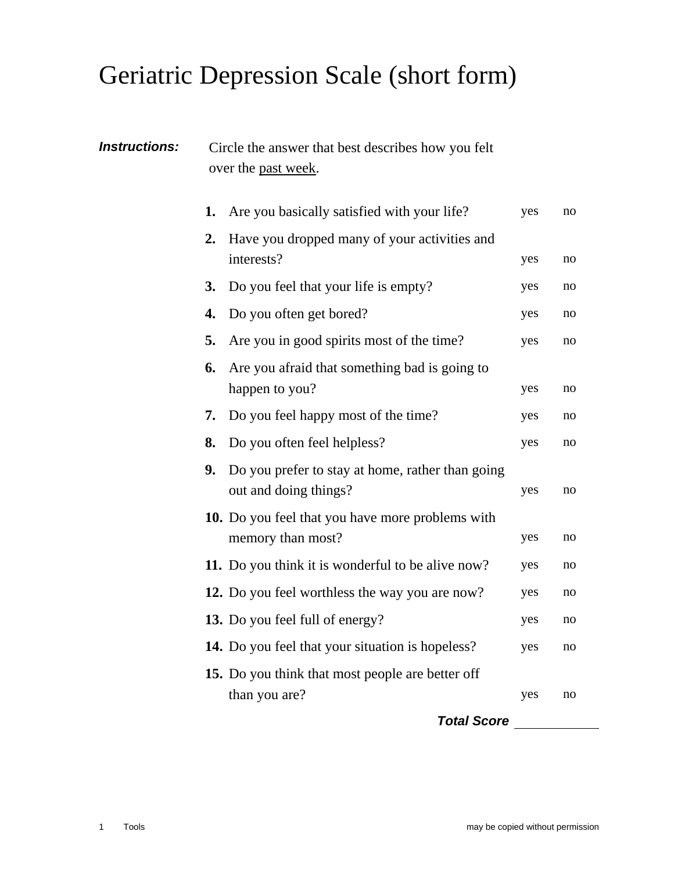## Geriatric Depression Scale (short form)

| <b>Instructions:</b> | Circle the answer that best describes how you felt<br>over the past week. |                                                                              |     |    |  |
|----------------------|---------------------------------------------------------------------------|------------------------------------------------------------------------------|-----|----|--|
|                      | 1.                                                                        | Are you basically satisfied with your life?                                  | yes | no |  |
|                      | 2.                                                                        | Have you dropped many of your activities and<br>interests?                   | yes | no |  |
|                      | <b>3.</b>                                                                 | Do you feel that your life is empty?                                         | yes | no |  |
|                      | 4.                                                                        | Do you often get bored?                                                      | yes | no |  |
|                      | 5.                                                                        | Are you in good spirits most of the time?                                    | yes | no |  |
|                      | 6.                                                                        | Are you afraid that something bad is going to<br>happen to you?              | yes | no |  |
|                      | 7.                                                                        | Do you feel happy most of the time?                                          | yes | no |  |
|                      | 8.                                                                        | Do you often feel helpless?                                                  | yes | no |  |
| 9.                   |                                                                           | Do you prefer to stay at home, rather than going<br>out and doing things?    | yes | no |  |
|                      |                                                                           | <b>10.</b> Do you feel that you have more problems with<br>memory than most? | yes | no |  |
|                      |                                                                           | 11. Do you think it is wonderful to be alive now?                            | yes | no |  |
|                      |                                                                           | 12. Do you feel worthless the way you are now?                               | yes | no |  |
|                      |                                                                           | 13. Do you feel full of energy?                                              | yes | no |  |
|                      |                                                                           | 14. Do you feel that your situation is hopeless?                             | yes | no |  |
|                      |                                                                           | 15. Do you think that most people are better off<br>than you are?<br>-ים ו   | yes | no |  |